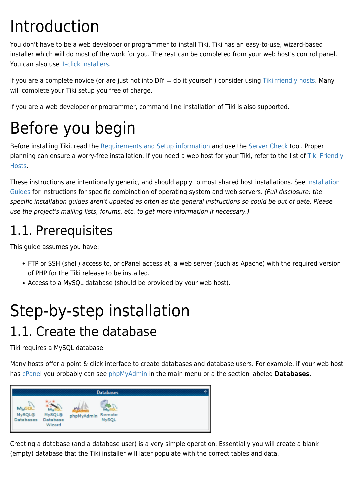# Introduction

You don't have to be a web developer or programmer to install Tiki. Tiki has an easy-to-use, wizard-based installer which will do most of the work for you. The rest can be completed from your web host's control panel. You can also use [1-click installers](http://tiki.org/1-click%20installers).

If you are a complete novice (or are just not into  $DY = do$  it yourself) consider using [Tiki friendly hosts.](http://tiki.org/Tiki%20friendly%20hosts) Many will complete your Tiki setup you free of charge.

If you are a web developer or programmer, command line installation of Tiki is also supported.

# Before you begin

Before installing Tiki, read the [Requirements and Setup information](https://doc.tiki.org/krav) and use the [Server Check](https://doc.tiki.org/Server-Check) tool. Proper planning can ensure a worry-free installation. If you need a web host for your Tiki, refer to the list of [Tiki Friendly](http://tiki.org/Tiki%20Friendly%20Hosts) [Hosts.](http://tiki.org/Tiki%20Friendly%20Hosts)

These instructions are intentionally generic, and should apply to most shared host installations. See [Installation](https://doc.tiki.org/Installation-Guides) [Guides](https://doc.tiki.org/Installation-Guides) for instructions for specific combination of operating system and web servers. (Full disclosure: the specific installation guides aren't updated as often as the general instructions so could be out of date. Please use the project's mailing lists, forums, etc. to get more information if necessary.)

## 1.1. Prerequisites

This guide assumes you have:

- FTP or SSH (shell) access to, or cPanel access at, a web server (such as Apache) with the required version of PHP for the Tiki release to be installed.
- Access to a MySQL database (should be provided by your web host).

# Step-by-step installation

## 1.1. Create the database

Tiki requires a MySQL database.

Many hosts offer a point & click interface to create databases and database users. For example, if your web host has [cPanel](http://www.cpanel.net) you probably can see [phpMyAdmin](http://www.phpmyadmin.net/) in the main menu or a the section labeled **Databases**.



Creating a database (and a database user) is a very simple operation. Essentially you will create a blank (empty) database that the Tiki installer will later populate with the correct tables and data.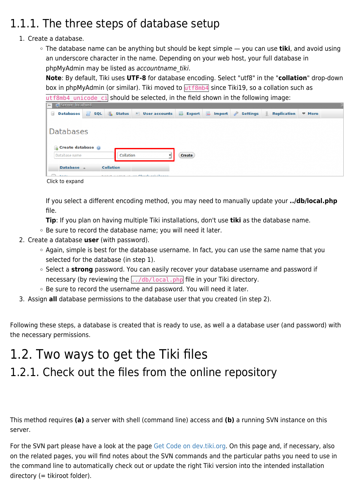## 1.1.1. The three steps of database setup

### 1. Create a database.

The database name can be anything but should be kept simple — you can use **tiki**, and avoid using an underscore character in the name. Depending on your web host, your full database in phpMyAdmin may be listed as accountname tiki.

**Note**: By default, Tiki uses **UTF-8** for database encoding. Select "utf8" in the "**collation**" drop-down box in phpMyAdmin (or similar). Tiki moved to  $utf8mb4$  since Tiki19, so a collation such as  $utf8mb4$  unicode ci should be selected, in the field shown in the following image:

| <b>C</b> El Server: localhost                  |  |                  |                                                                     |        |  |  |                    |               |  |
|------------------------------------------------|--|------------------|---------------------------------------------------------------------|--------|--|--|--------------------|---------------|--|
| $\begin{bmatrix} 1 & 0 \\ 0 & 0 \end{bmatrix}$ |  |                  | Databases S SQL Status 3 User accounts B Export B Import & Settings |        |  |  | <b>Replication</b> | $\nabla$ More |  |
|                                                |  |                  |                                                                     |        |  |  |                    |               |  |
| <b>Databases</b>                               |  |                  |                                                                     |        |  |  |                    |               |  |
|                                                |  |                  |                                                                     |        |  |  |                    |               |  |
| Create database @                              |  |                  |                                                                     |        |  |  |                    |               |  |
| Database name                                  |  | Collation        |                                                                     | Create |  |  |                    |               |  |
| Database 4                                     |  | <b>Collation</b> |                                                                     |        |  |  |                    |               |  |
| <b>Banding</b>                                 |  |                  | taking months of the Charle privileges                              |        |  |  |                    |               |  |

Click to expand

If you select a different encoding method, you may need to manually update your **../db/local.php** file.

**Tip**: If you plan on having multiple Tiki installations, don't use **tiki** as the database name.

- Be sure to record the database name; you will need it later.
- 2. Create a database **user** (with password).
	- Again, simple is best for the database username. In fact, you can use the same name that you selected for the database (in step 1).
	- <sup>o</sup> Select a strong password. You can easily recover your database username and password if necessary (by reviewing the  $\frac{1}{100}$   $\frac{1}{100}$   $\frac{1}{100}$  file in your Tiki directory.
	- Be sure to record the username and password. You will need it later.
- 3. Assign **all** database permissions to the database user that you created (in step 2).

Following these steps, a database is created that is ready to use, as well a a database user (and password) with the necessary permissions.

## 1.2. Two ways to get the Tiki files 1.2.1. Check out the files from the online repository

This method requires **(a)** a server with shell (command line) access and **(b)** a running SVN instance on this server.

For the SVN part please have a look at the page [Get Code on dev.tiki.org.](http://dev.tiki.org/Get-code) On this page and, if necessary, also on the related pages, you will find notes about the SVN commands and the particular paths you need to use in the command line to automatically check out or update the right Tiki version into the intended installation directory (= tikiroot folder).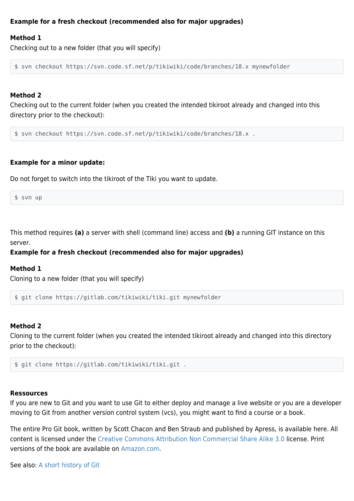#### **Example for a fresh checkout (recommended also for major upgrades)**

#### **Method 1**

Checking out to a new folder (that you will specify)

\$ svn checkout https://svn.code.sf.net/p/tikiwiki/code/branches/18.x mynewfolder

#### **Method 2**

Checking out to the current folder (when you created the intended tikiroot already and changed into this directory prior to the checkout):

\$ svn checkout https://svn.code.sf.net/p/tikiwiki/code/branches/18.x .

#### **Example for a minor update:**

Do not forget to switch into the tikiroot of the Tiki you want to update.

\$ svn up

This method requires **(a)** a server with shell (command line) access and **(b)** a running GIT instance on this server.

#### **Example for a fresh checkout (recommended also for major upgrades)**

#### **Method 1**

Cloning to a new folder (that you will specify)

```
$ git clone https://gitlab.com/tikiwiki/tiki.git mynewfolder
```
#### **Method 2**

Cloning to the current folder (when you created the intended tikiroot already and changed into this directory prior to the checkout):

```
$ git clone https://gitlab.com/tikiwiki/tiki.git .
```
#### **Ressources**

If you are new to Git and you want to use Git to either deploy and manage a live website or you are a developer moving to Git from another version control system (vcs), you might want to find a course or a book.

The entire Pro Git book, written by Scott Chacon and Ben Straub and published by Apress, is available here. All content is licensed under the [Creative Commons Attribution Non Commercial Share Alike 3.0](https://creativecommons.org/licenses/by-nc-sa/3.0/) license. Print versions of the book are available on [Amazon.com.](http://www.amazon.com/Pro-Git-Scott-Chacon/dp/1484200772?ie=UTF8&camp=1789&creative=9325&creativeASIN=1430218339&linkCode=as2&tag=git-sfconservancy-20)

See also: [A short history of Git](https://git-scm.com/book/en/v2/Getting-Started-A-Short-History-of-Git)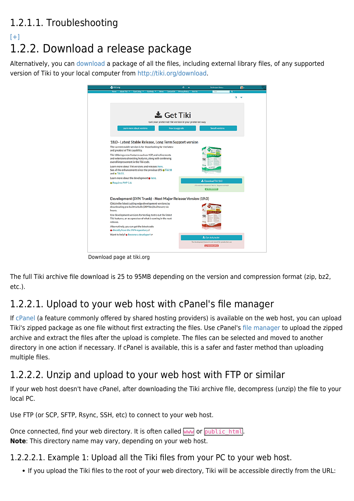### 1.2.1.1. Troubleshooting

### $[+]$ 1.2.2. Download a release package

Alternatively, you can [download](https://doc.tiki.org/Download) a package of all the files, including external library files, of any supported version of Tiki to your local computer from [http://tiki.org/download.](http://tiki.org/download)



Download page at tiki.org

The full Tiki archive file download is 25 to 95MB depending on the version and compression format (zip, bz2, etc.).

### 1.2.2.1. Upload to your web host with cPanel's file manager

If [cPanel](https://documentation.cpanel.net/display/76Docs/cPanel+User+Documentation) (a feature commonly offered by shared hosting providers) is available on the web host, you can upload Tiki's zipped package as one file without first extracting the files. Use cPanel's [file manager](https://documentation.cpanel.net/display/78Docs/File+Manager) to upload the zipped archive and extract the files after the upload is complete. The files can be selected and moved to another directory in one action if necessary. If cPanel is available, this is a safer and faster method than uploading multiple files.

### 1.2.2.2. Unzip and upload to your web host with FTP or similar

If your web host doesn't have cPanel, after downloading the Tiki archive file, decompress (unzip) the file to your local PC.

Use FTP (or SCP, SFTP, Rsync, SSH, etc) to connect to your web host.

Once connected, find your web directory. It is often called www or public html. **Note**: This directory name may vary, depending on your web host.

### 1.2.2.2.1. Example 1: Upload all the Tiki files from your PC to your web host.

If you upload the Tiki files to the root of your web directory, Tiki will be accessible directly from the URL: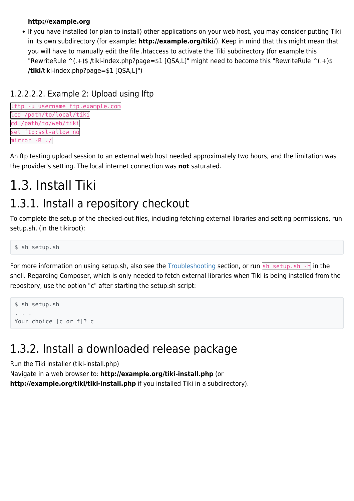#### **http://example.org**

If you have installed (or plan to install) other applications on your web host, you may consider putting Tiki in its own subdirectory (for example: **http://example.org/tiki/**). Keep in mind that this might mean that you will have to manually edit the file .htaccess to activate the Tiki subdirectory (for example this "RewriteRule  $\hat{ }$ (.+)\$ /tiki-index.php?page=\$1 [QSA,L]" might need to become this "RewriteRule  $\hat{ }$ (.+)\$ **/tiki**/tiki-index.php?page=\$1 [QSA,L]")

### 1.2.2.2.2. Example 2: Upload using lftp

```
lftp -u username ftp.example.com
lcd /path/to/local/tiki
cd /path/to/web/tiki
set ftp:ssl-allow no
mirror -R ./
```
An ftp testing upload session to an external web host needed approximately two hours, and the limitation was the provider's setting. The local internet connection was **not** saturated.

## 1.3. Install Tiki

## 1.3.1. Install a repository checkout

To complete the setup of the checked-out files, including fetching external libraries and setting permissions, run setup.sh, (in the tikiroot):

\$ sh setup.sh

For more information on using setup.sh, also see the [Troubleshooting](#page--1-0) section, or run  $\frac{1}{5}$  setup.sh -h in the shell. Regarding Composer, which is only needed to fetch external libraries when Tiki is being installed from the repository, use the option "c" after starting the setup.sh script:

```
$ sh setup.sh
. . .
Your choice [c or f]? c
```
### 1.3.2. Install a downloaded release package

Run the Tiki installer (tiki-install.php)

Navigate in a web browser to: **http://example.org/tiki-install.php** (or **http://example.org/tiki/tiki-install.php** if you installed Tiki in a subdirectory).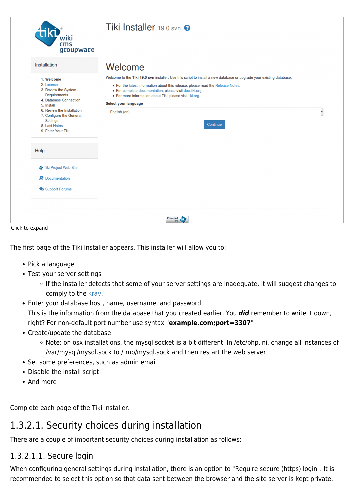| wiki<br>cms<br>groupware                                                                                                |                                                                                                                                                                                                                                                                                                                                  |  |
|-------------------------------------------------------------------------------------------------------------------------|----------------------------------------------------------------------------------------------------------------------------------------------------------------------------------------------------------------------------------------------------------------------------------------------------------------------------------|--|
| Installation                                                                                                            | Welcome                                                                                                                                                                                                                                                                                                                          |  |
| 1. Welcome<br>2. License<br>3. Review the System<br>Requirements<br>4. Database Connection                              | Welcome to the Tiki 19.0 svn installer. Use this script to install a new database or upgrade your existing database.<br>• For the latest information about this release, please read the Release Notes.<br>· For complete documentation, please visit doc.tiki.org.<br>· For more information about Tiki, please visit tiki.org. |  |
| 5. Install<br>6. Review the Installation<br>7. Configure the General<br>Settings<br>8. Last Notes<br>9. Enter Your Tiki | Select your language<br>English (en)<br>Continue                                                                                                                                                                                                                                                                                 |  |
| Help                                                                                                                    |                                                                                                                                                                                                                                                                                                                                  |  |
| Tiki Project Web Site                                                                                                   |                                                                                                                                                                                                                                                                                                                                  |  |
| Documentation                                                                                                           |                                                                                                                                                                                                                                                                                                                                  |  |
| Support Forums                                                                                                          |                                                                                                                                                                                                                                                                                                                                  |  |

Click to expand

The first page of the Tiki Installer appears. This installer will allow you to:

- Pick a language
- Test your server settings
	- o If the installer detects that some of your server settings are inadequate, it will suggest changes to comply to the [krav](https://doc.tiki.org/krav).
- Enter your database host, name, username, and password. This is the information from the database that you created earlier. You *did* remember to write it down, right? For non-default port number use syntax "**example.com;port=3307**"
- Create/update the database
	- o Note: on osx installations, the mysql socket is a bit different. In /etc/php.ini, change all instances of /var/mysql/mysql.sock to /tmp/mysql.sock and then restart the web server
- Set some preferences, such as admin email
- Disable the install script
- And more

Complete each page of the Tiki Installer.

### 1.3.2.1. Security choices during installation

There are a couple of important security choices during installation as follows:

### 1.3.2.1.1. Secure login

When configuring general settings during installation, there is an option to "Require secure (https) login". It is recommended to select this option so that data sent between the browser and the site server is kept private.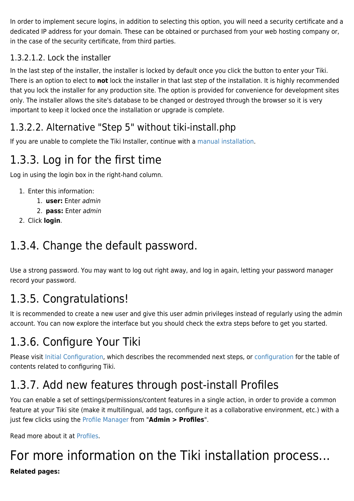In order to implement secure logins, in addition to selecting this option, you will need a security certificate and a dedicated IP address for your domain. These can be obtained or purchased from your web hosting company or, in the case of the security certificate, from third parties.

### 1.3.2.1.2. Lock the installer

In the last step of the installer, the installer is locked by default once you click the button to enter your Tiki. There is an option to elect to **not** lock the installer in that last step of the installation. It is highly recommended that you lock the installer for any production site. The option is provided for convenience for development sites only. The installer allows the site's database to be changed or destroyed through the browser so it is very important to keep it locked once the installation or upgrade is complete.

### 1.3.2.2. Alternative "Step 5" without tiki-install.php

If you are unable to complete the Tiki Installer, continue with a [manual installation](https://doc.tiki.org/Manual-Installation).

## 1.3.3. Log in for the first time

Log in using the login box in the right-hand column.

- 1. Enter this information:
	- 1. **user:** Enter admin
	- 2. **pass:** Enter admin
- 2. Click **login**.

## 1.3.4. Change the default password.

Use a strong password. You may want to log out right away, and log in again, letting your password manager record your password.

## 1.3.5. Congratulations!

It is recommended to create a new user and give this user admin privileges instead of regularly using the admin account. You can now explore the interface but you should check the extra steps before to get you started.

## 1.3.6. Configure Your Tiki

Please visit [Initial Configuration,](https://doc.tiki.org/Initial-Configuration) which describes the recommended next steps, or [configuration](https://doc.tiki.org/Configuration) for the table of contents related to configuring Tiki.

## 1.3.7. Add new features through post-install Profiles

You can enable a set of settings/permissions/content features in a single action, in order to provide a common feature at your Tiki site (make it multilingual, add tags, configure it as a collaborative environment, etc.) with a just few clicks using the [Profile Manager](https://doc.tiki.org/Profile%20Manager) from "**Admin > Profiles**".

Read more about it at [Profiles](https://doc.tiki.org/Profiles).

## For more information on the Tiki installation process...

### **Related pages:**